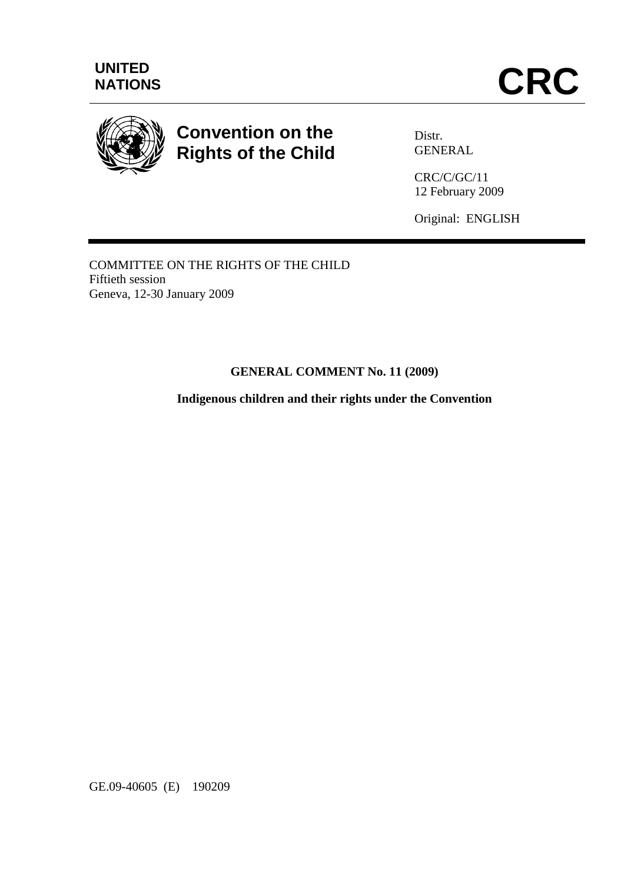



# **Convention on the Rights of the Child**

Distr. GENERAL

CRC/C/GC/11 12 February 2009

Original: ENGLISH

COMMITTEE ON THE RIGHTS OF THE CHILD Fiftieth session Geneva, 12-30 January 2009

#### **GENERAL COMMENT No. 11 (2009)**

**Indigenous children and their rights under the Convention** 

GE.09-40605 (E) 190209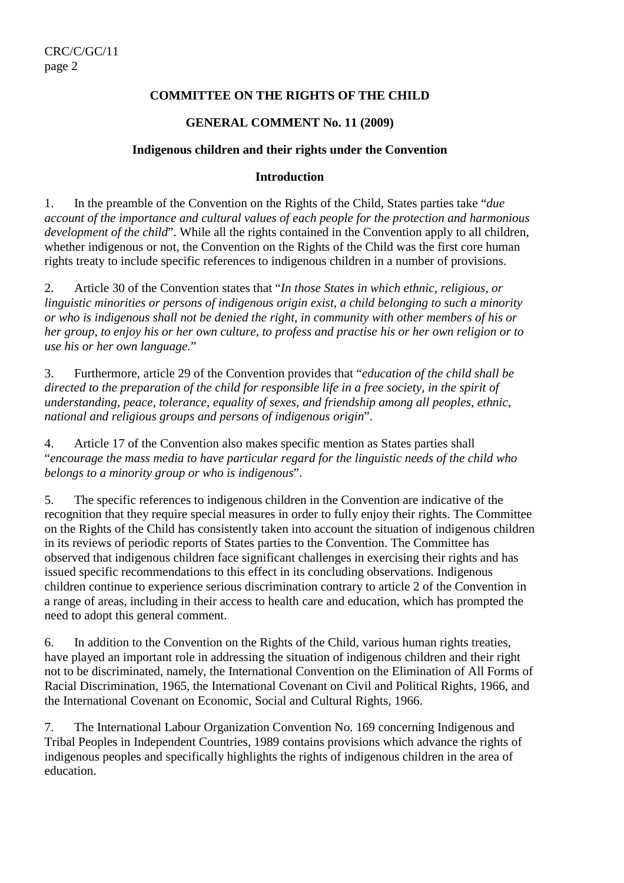## **COMMITTEE ON THE RIGHTS OF THE CHILD**

#### **GENERAL COMMENT No. 11 (2009)**

#### **Indigenous children and their rights under the Convention**

#### **Introduction**

1. In the preamble of the Convention on the Rights of the Child, States parties take "*due account of the importance and cultural values of each people for the protection and harmonious development of the child*". While all the rights contained in the Convention apply to all children, whether indigenous or not, the Convention on the Rights of the Child was the first core human rights treaty to include specific references to indigenous children in a number of provisions.

2. Article 30 of the Convention states that "*In those States in which ethnic, religious, or linguistic minorities or persons of indigenous origin exist, a child belonging to such a minority or who is indigenous shall not be denied the right, in community with other members of his or her group, to enjoy his or her own culture, to profess and practise his or her own religion or to use his or her own language.*"

3. Furthermore, article 29 of the Convention provides that "*education of the child shall be directed to the preparation of the child for responsible life in a free society, in the spirit of understanding, peace, tolerance, equality of sexes, and friendship among all peoples, ethnic, national and religious groups and persons of indigenous origin*".

4. Article 17 of the Convention also makes specific mention as States parties shall "*encourage the mass media to have particular regard for the linguistic needs of the child who belongs to a minority group or who is indigenous*".

5. The specific references to indigenous children in the Convention are indicative of the recognition that they require special measures in order to fully enjoy their rights. The Committee on the Rights of the Child has consistently taken into account the situation of indigenous children in its reviews of periodic reports of States parties to the Convention. The Committee has observed that indigenous children face significant challenges in exercising their rights and has issued specific recommendations to this effect in its concluding observations. Indigenous children continue to experience serious discrimination contrary to article 2 of the Convention in a range of areas, including in their access to health care and education, which has prompted the need to adopt this general comment.

6. In addition to the Convention on the Rights of the Child, various human rights treaties, have played an important role in addressing the situation of indigenous children and their right not to be discriminated, namely, the International Convention on the Elimination of All Forms of Racial Discrimination, 1965, the International Covenant on Civil and Political Rights, 1966, and the International Covenant on Economic, Social and Cultural Rights, 1966.

7. The International Labour Organization Convention No. 169 concerning Indigenous and Tribal Peoples in Independent Countries, 1989 contains provisions which advance the rights of indigenous peoples and specifically highlights the rights of indigenous children in the area of education.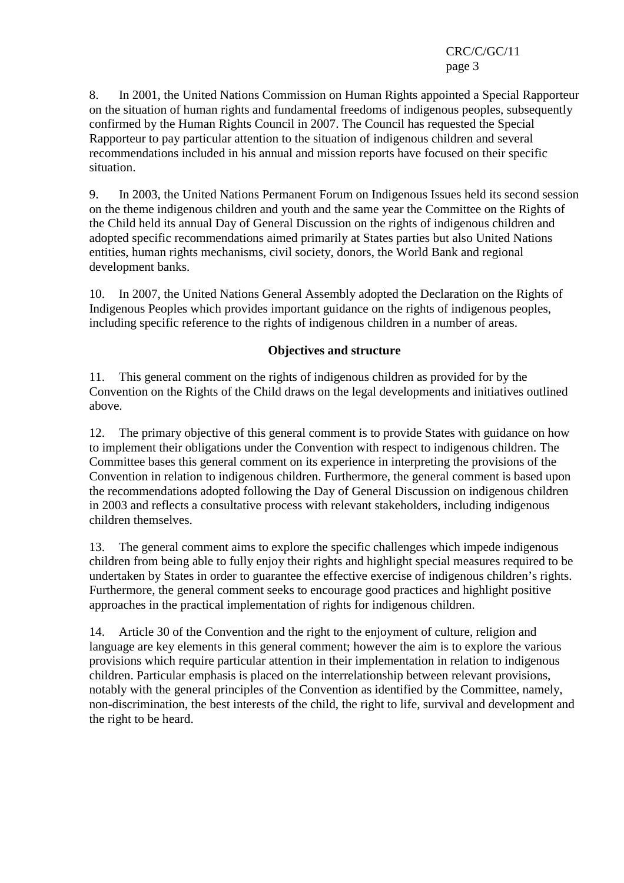8. In 2001, the United Nations Commission on Human Rights appointed a Special Rapporteur on the situation of human rights and fundamental freedoms of indigenous peoples, subsequently confirmed by the Human Rights Council in 2007. The Council has requested the Special Rapporteur to pay particular attention to the situation of indigenous children and several recommendations included in his annual and mission reports have focused on their specific situation.

9. In 2003, the United Nations Permanent Forum on Indigenous Issues held its second session on the theme indigenous children and youth and the same year the Committee on the Rights of the Child held its annual Day of General Discussion on the rights of indigenous children and adopted specific recommendations aimed primarily at States parties but also United Nations entities, human rights mechanisms, civil society, donors, the World Bank and regional development banks.

10. In 2007, the United Nations General Assembly adopted the Declaration on the Rights of Indigenous Peoples which provides important guidance on the rights of indigenous peoples, including specific reference to the rights of indigenous children in a number of areas.

#### **Objectives and structure**

11. This general comment on the rights of indigenous children as provided for by the Convention on the Rights of the Child draws on the legal developments and initiatives outlined above.

12. The primary objective of this general comment is to provide States with guidance on how to implement their obligations under the Convention with respect to indigenous children. The Committee bases this general comment on its experience in interpreting the provisions of the Convention in relation to indigenous children. Furthermore, the general comment is based upon the recommendations adopted following the Day of General Discussion on indigenous children in 2003 and reflects a consultative process with relevant stakeholders, including indigenous children themselves.

13. The general comment aims to explore the specific challenges which impede indigenous children from being able to fully enjoy their rights and highlight special measures required to be undertaken by States in order to guarantee the effective exercise of indigenous children's rights. Furthermore, the general comment seeks to encourage good practices and highlight positive approaches in the practical implementation of rights for indigenous children.

14. Article 30 of the Convention and the right to the enjoyment of culture, religion and language are key elements in this general comment; however the aim is to explore the various provisions which require particular attention in their implementation in relation to indigenous children. Particular emphasis is placed on the interrelationship between relevant provisions, notably with the general principles of the Convention as identified by the Committee, namely, non-discrimination, the best interests of the child, the right to life, survival and development and the right to be heard.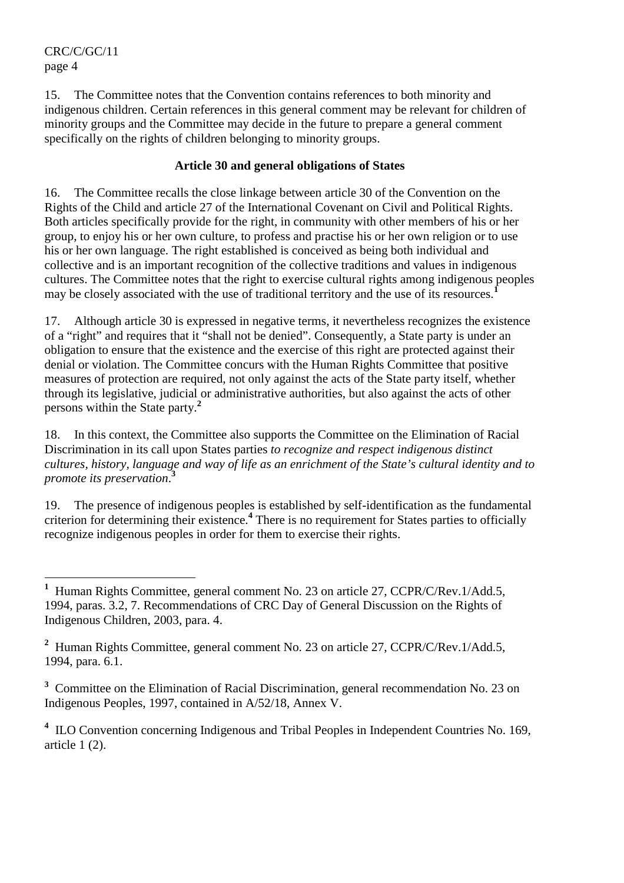15. The Committee notes that the Convention contains references to both minority and indigenous children. Certain references in this general comment may be relevant for children of minority groups and the Committee may decide in the future to prepare a general comment specifically on the rights of children belonging to minority groups.

#### **Article 30 and general obligations of States**

16. The Committee recalls the close linkage between article 30 of the Convention on the Rights of the Child and article 27 of the International Covenant on Civil and Political Rights. Both articles specifically provide for the right, in community with other members of his or her group, to enjoy his or her own culture, to profess and practise his or her own religion or to use his or her own language. The right established is conceived as being both individual and collective and is an important recognition of the collective traditions and values in indigenous cultures. The Committee notes that the right to exercise cultural rights among indigenous peoples may be closely associated with the use of traditional territory and the use of its resources.**<sup>1</sup>**

17. Although article 30 is expressed in negative terms, it nevertheless recognizes the existence of a "right" and requires that it "shall not be denied". Consequently, a State party is under an obligation to ensure that the existence and the exercise of this right are protected against their denial or violation. The Committee concurs with the Human Rights Committee that positive measures of protection are required, not only against the acts of the State party itself, whether through its legislative, judicial or administrative authorities, but also against the acts of other persons within the State party.**<sup>2</sup>**

18. In this context, the Committee also supports the Committee on the Elimination of Racial Discrimination in its call upon States parties *to recognize and respect indigenous distinct cultures, history, language and way of life as an enrichment of the State's cultural identity and to promote its preservation*. **3**

19. The presence of indigenous peoples is established by self-identification as the fundamental criterion for determining their existence.**<sup>4</sup>** There is no requirement for States parties to officially recognize indigenous peoples in order for them to exercise their rights.

<sup>&</sup>lt;sup>1</sup> Human Rights Committee, general comment No. 23 on article 27, CCPR/C/Rev.1/Add.5, 1994, paras. 3.2, 7. Recommendations of CRC Day of General Discussion on the Rights of Indigenous Children, 2003, para. 4.

<sup>&</sup>lt;sup>2</sup> Human Rights Committee, general comment No. 23 on article 27, CCPR/C/Rev.1/Add.5, 1994, para. 6.1.

<sup>&</sup>lt;sup>3</sup> Committee on the Elimination of Racial Discrimination, general recommendation No. 23 on Indigenous Peoples, 1997, contained in A/52/18, Annex V.

<sup>&</sup>lt;sup>4</sup> ILO Convention concerning Indigenous and Tribal Peoples in Independent Countries No. 169, article 1 (2).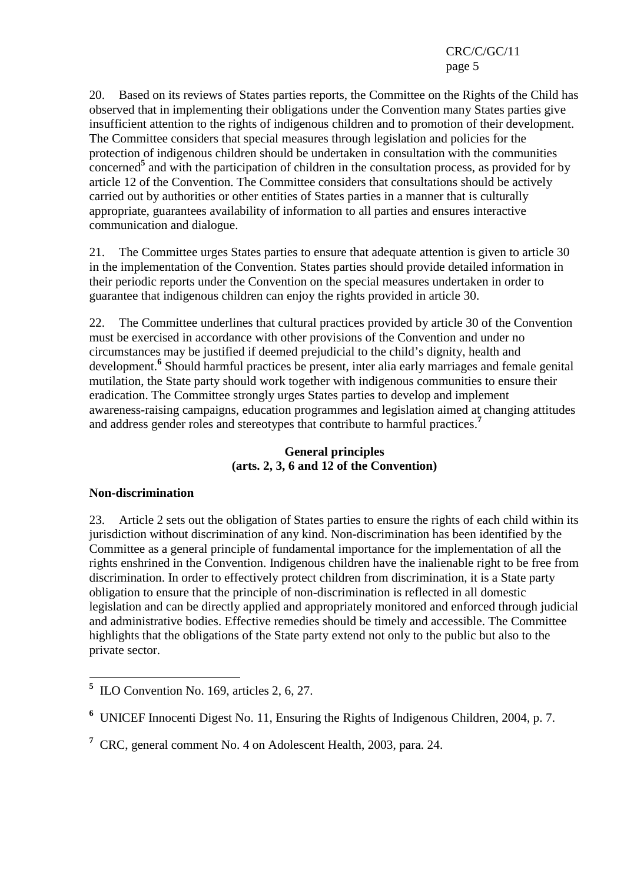20. Based on its reviews of States parties reports, the Committee on the Rights of the Child has observed that in implementing their obligations under the Convention many States parties give insufficient attention to the rights of indigenous children and to promotion of their development. The Committee considers that special measures through legislation and policies for the protection of indigenous children should be undertaken in consultation with the communities concerned<sup>5</sup> and with the participation of children in the consultation process, as provided for by article 12 of the Convention. The Committee considers that consultations should be actively carried out by authorities or other entities of States parties in a manner that is culturally appropriate, guarantees availability of information to all parties and ensures interactive communication and dialogue.

21. The Committee urges States parties to ensure that adequate attention is given to article 30 in the implementation of the Convention. States parties should provide detailed information in their periodic reports under the Convention on the special measures undertaken in order to guarantee that indigenous children can enjoy the rights provided in article 30.

22. The Committee underlines that cultural practices provided by article 30 of the Convention must be exercised in accordance with other provisions of the Convention and under no circumstances may be justified if deemed prejudicial to the child's dignity, health and development.**<sup>6</sup>** Should harmful practices be present, inter alia early marriages and female genital mutilation, the State party should work together with indigenous communities to ensure their eradication. The Committee strongly urges States parties to develop and implement awareness-raising campaigns, education programmes and legislation aimed at changing attitudes and address gender roles and stereotypes that contribute to harmful practices.**<sup>7</sup>**

#### **General principles (arts. 2, 3, 6 and 12 of the Convention)**

#### **Non-discrimination**

23. Article 2 sets out the obligation of States parties to ensure the rights of each child within its jurisdiction without discrimination of any kind. Non-discrimination has been identified by the Committee as a general principle of fundamental importance for the implementation of all the rights enshrined in the Convention. Indigenous children have the inalienable right to be free from discrimination. In order to effectively protect children from discrimination, it is a State party obligation to ensure that the principle of non-discrimination is reflected in all domestic legislation and can be directly applied and appropriately monitored and enforced through judicial and administrative bodies. Effective remedies should be timely and accessible. The Committee highlights that the obligations of the State party extend not only to the public but also to the private sector.

 **5** ILO Convention No. 169, articles 2, 6, 27.

**<sup>6</sup>** UNICEF Innocenti Digest No. 11, Ensuring the Rights of Indigenous Children, 2004, p. 7.

**<sup>7</sup>** CRC, general comment No. 4 on Adolescent Health, 2003, para. 24.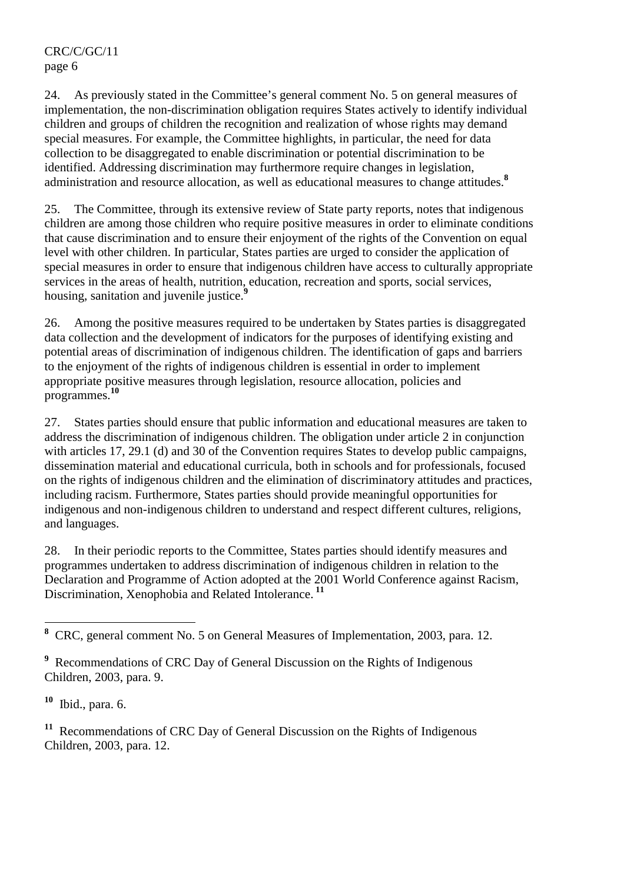24. As previously stated in the Committee's general comment No. 5 on general measures of implementation, the non-discrimination obligation requires States actively to identify individual children and groups of children the recognition and realization of whose rights may demand special measures. For example, the Committee highlights, in particular, the need for data collection to be disaggregated to enable discrimination or potential discrimination to be identified. Addressing discrimination may furthermore require changes in legislation, administration and resource allocation, as well as educational measures to change attitudes.**<sup>8</sup>**

25. The Committee, through its extensive review of State party reports, notes that indigenous children are among those children who require positive measures in order to eliminate conditions that cause discrimination and to ensure their enjoyment of the rights of the Convention on equal level with other children. In particular, States parties are urged to consider the application of special measures in order to ensure that indigenous children have access to culturally appropriate services in the areas of health, nutrition, education, recreation and sports, social services, housing, sanitation and juvenile justice.**<sup>9</sup>**

26. Among the positive measures required to be undertaken by States parties is disaggregated data collection and the development of indicators for the purposes of identifying existing and potential areas of discrimination of indigenous children. The identification of gaps and barriers to the enjoyment of the rights of indigenous children is essential in order to implement appropriate positive measures through legislation, resource allocation, policies and programmes.**<sup>10</sup>**

27. States parties should ensure that public information and educational measures are taken to address the discrimination of indigenous children. The obligation under article 2 in conjunction with articles 17, 29.1 (d) and 30 of the Convention requires States to develop public campaigns, dissemination material and educational curricula, both in schools and for professionals, focused on the rights of indigenous children and the elimination of discriminatory attitudes and practices, including racism. Furthermore, States parties should provide meaningful opportunities for indigenous and non-indigenous children to understand and respect different cultures, religions, and languages.

28. In their periodic reports to the Committee, States parties should identify measures and programmes undertaken to address discrimination of indigenous children in relation to the Declaration and Programme of Action adopted at the 2001 World Conference against Racism, Discrimination, Xenophobia and Related Intolerance.**<sup>11</sup>**

**<sup>10</sup>** Ibid., para. 6.

**<sup>11</sup>** Recommendations of CRC Day of General Discussion on the Rights of Indigenous Children, 2003, para. 12.

<sup>&</sup>lt;sup>8</sup> CRC, general comment No. 5 on General Measures of Implementation, 2003, para. 12.

<sup>&</sup>lt;sup>9</sup> Recommendations of CRC Day of General Discussion on the Rights of Indigenous Children, 2003, para. 9.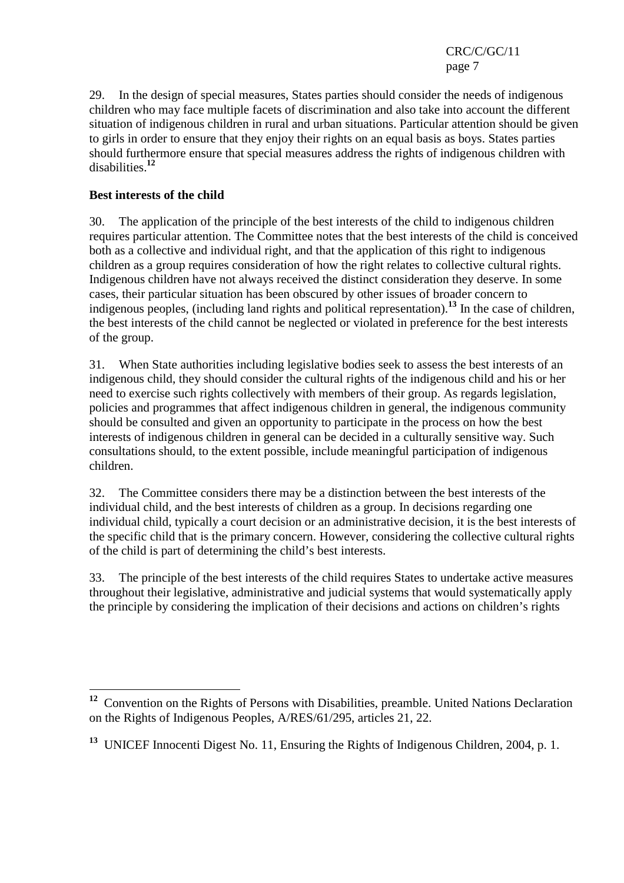29. In the design of special measures, States parties should consider the needs of indigenous children who may face multiple facets of discrimination and also take into account the different situation of indigenous children in rural and urban situations. Particular attention should be given to girls in order to ensure that they enjoy their rights on an equal basis as boys. States parties should furthermore ensure that special measures address the rights of indigenous children with disabilities.**<sup>12</sup>**

#### **Best interests of the child**

 $\overline{a}$ 

30. The application of the principle of the best interests of the child to indigenous children requires particular attention. The Committee notes that the best interests of the child is conceived both as a collective and individual right, and that the application of this right to indigenous children as a group requires consideration of how the right relates to collective cultural rights. Indigenous children have not always received the distinct consideration they deserve. In some cases, their particular situation has been obscured by other issues of broader concern to indigenous peoples, (including land rights and political representation).**<sup>13</sup>** In the case of children, the best interests of the child cannot be neglected or violated in preference for the best interests of the group.

31. When State authorities including legislative bodies seek to assess the best interests of an indigenous child, they should consider the cultural rights of the indigenous child and his or her need to exercise such rights collectively with members of their group. As regards legislation, policies and programmes that affect indigenous children in general, the indigenous community should be consulted and given an opportunity to participate in the process on how the best interests of indigenous children in general can be decided in a culturally sensitive way. Such consultations should, to the extent possible, include meaningful participation of indigenous children.

32. The Committee considers there may be a distinction between the best interests of the individual child, and the best interests of children as a group. In decisions regarding one individual child, typically a court decision or an administrative decision, it is the best interests of the specific child that is the primary concern. However, considering the collective cultural rights of the child is part of determining the child's best interests.

33. The principle of the best interests of the child requires States to undertake active measures throughout their legislative, administrative and judicial systems that would systematically apply the principle by considering the implication of their decisions and actions on children's rights

<sup>&</sup>lt;sup>12</sup> Convention on the Rights of Persons with Disabilities, preamble. United Nations Declaration on the Rights of Indigenous Peoples, A/RES/61/295, articles 21, 22.

**<sup>13</sup>** UNICEF Innocenti Digest No. 11, Ensuring the Rights of Indigenous Children, 2004, p. 1.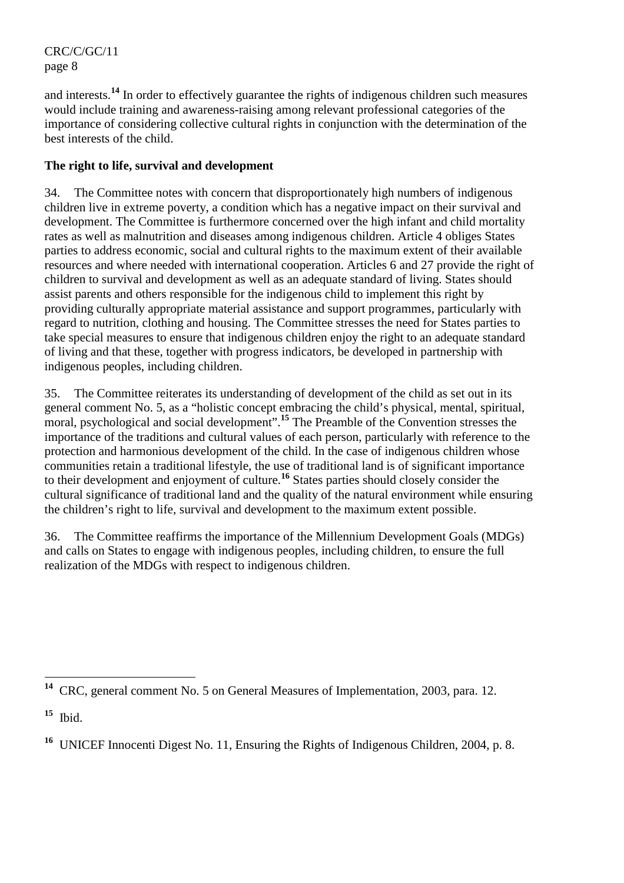and interests.**<sup>14</sup>** In order to effectively guarantee the rights of indigenous children such measures would include training and awareness-raising among relevant professional categories of the importance of considering collective cultural rights in conjunction with the determination of the best interests of the child.

# **The right to life, survival and development**

34. The Committee notes with concern that disproportionately high numbers of indigenous children live in extreme poverty, a condition which has a negative impact on their survival and development. The Committee is furthermore concerned over the high infant and child mortality rates as well as malnutrition and diseases among indigenous children. Article 4 obliges States parties to address economic, social and cultural rights to the maximum extent of their available resources and where needed with international cooperation. Articles 6 and 27 provide the right of children to survival and development as well as an adequate standard of living. States should assist parents and others responsible for the indigenous child to implement this right by providing culturally appropriate material assistance and support programmes, particularly with regard to nutrition, clothing and housing. The Committee stresses the need for States parties to take special measures to ensure that indigenous children enjoy the right to an adequate standard of living and that these, together with progress indicators, be developed in partnership with indigenous peoples, including children.

35. The Committee reiterates its understanding of development of the child as set out in its general comment No. 5, as a "holistic concept embracing the child's physical, mental, spiritual, moral, psychological and social development".<sup>15</sup> The Preamble of the Convention stresses the importance of the traditions and cultural values of each person, particularly with reference to the protection and harmonious development of the child. In the case of indigenous children whose communities retain a traditional lifestyle, the use of traditional land is of significant importance to their development and enjoyment of culture.**<sup>16</sup>** States parties should closely consider the cultural significance of traditional land and the quality of the natural environment while ensuring the children's right to life, survival and development to the maximum extent possible.

36. The Committee reaffirms the importance of the Millennium Development Goals (MDGs) and calls on States to engage with indigenous peoples, including children, to ensure the full realization of the MDGs with respect to indigenous children.

<sup>14</sup> **<sup>14</sup>** CRC, general comment No. 5 on General Measures of Implementation, 2003, para. 12.

**<sup>15</sup>** Ibid.

**<sup>16</sup>** UNICEF Innocenti Digest No. 11, Ensuring the Rights of Indigenous Children, 2004, p. 8.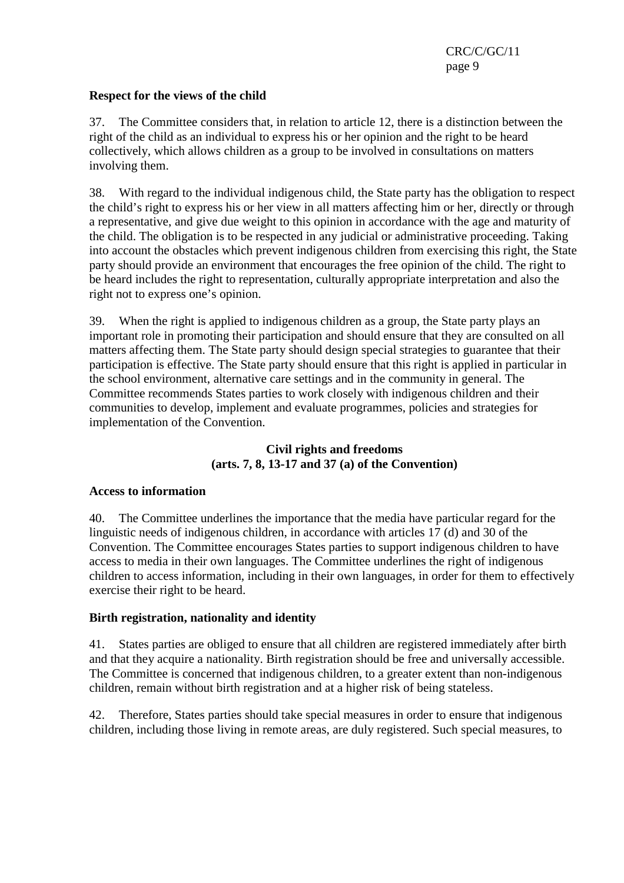#### **Respect for the views of the child**

37. The Committee considers that, in relation to article 12, there is a distinction between the right of the child as an individual to express his or her opinion and the right to be heard collectively, which allows children as a group to be involved in consultations on matters involving them.

38. With regard to the individual indigenous child, the State party has the obligation to respect the child's right to express his or her view in all matters affecting him or her, directly or through a representative, and give due weight to this opinion in accordance with the age and maturity of the child. The obligation is to be respected in any judicial or administrative proceeding. Taking into account the obstacles which prevent indigenous children from exercising this right, the State party should provide an environment that encourages the free opinion of the child. The right to be heard includes the right to representation, culturally appropriate interpretation and also the right not to express one's opinion.

39. When the right is applied to indigenous children as a group, the State party plays an important role in promoting their participation and should ensure that they are consulted on all matters affecting them. The State party should design special strategies to guarantee that their participation is effective. The State party should ensure that this right is applied in particular in the school environment, alternative care settings and in the community in general. The Committee recommends States parties to work closely with indigenous children and their communities to develop, implement and evaluate programmes, policies and strategies for implementation of the Convention.

#### **Civil rights and freedoms (arts. 7, 8, 13-17 and 37 (a) of the Convention)**

#### **Access to information**

40. The Committee underlines the importance that the media have particular regard for the linguistic needs of indigenous children, in accordance with articles 17 (d) and 30 of the Convention. The Committee encourages States parties to support indigenous children to have access to media in their own languages. The Committee underlines the right of indigenous children to access information, including in their own languages, in order for them to effectively exercise their right to be heard.

#### **Birth registration, nationality and identity**

41. States parties are obliged to ensure that all children are registered immediately after birth and that they acquire a nationality. Birth registration should be free and universally accessible. The Committee is concerned that indigenous children, to a greater extent than non-indigenous children, remain without birth registration and at a higher risk of being stateless.

42. Therefore, States parties should take special measures in order to ensure that indigenous children, including those living in remote areas, are duly registered. Such special measures, to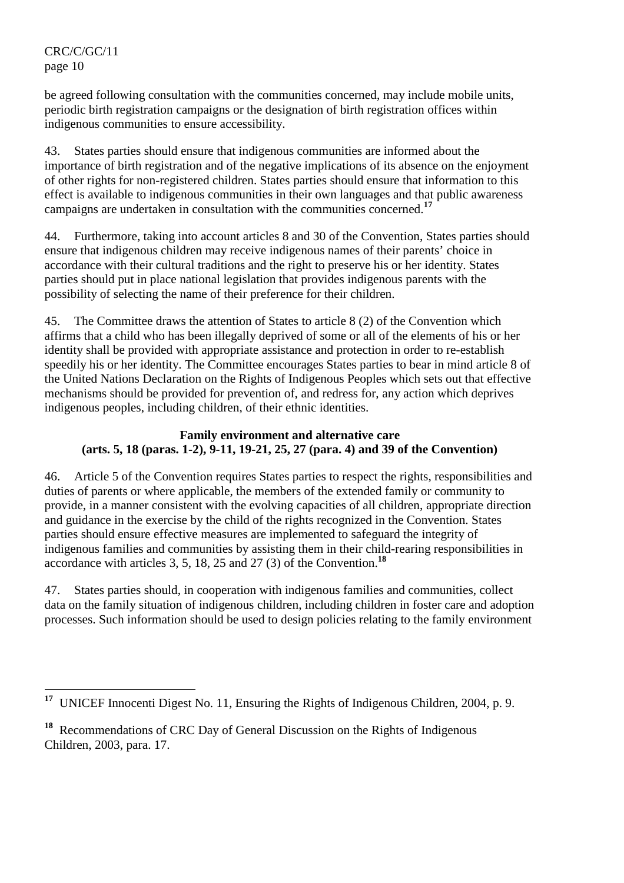be agreed following consultation with the communities concerned, may include mobile units, periodic birth registration campaigns or the designation of birth registration offices within indigenous communities to ensure accessibility.

43. States parties should ensure that indigenous communities are informed about the importance of birth registration and of the negative implications of its absence on the enjoyment of other rights for non-registered children. States parties should ensure that information to this effect is available to indigenous communities in their own languages and that public awareness campaigns are undertaken in consultation with the communities concerned.**<sup>17</sup>**

44. Furthermore, taking into account articles 8 and 30 of the Convention, States parties should ensure that indigenous children may receive indigenous names of their parents' choice in accordance with their cultural traditions and the right to preserve his or her identity. States parties should put in place national legislation that provides indigenous parents with the possibility of selecting the name of their preference for their children.

45. The Committee draws the attention of States to article 8 (2) of the Convention which affirms that a child who has been illegally deprived of some or all of the elements of his or her identity shall be provided with appropriate assistance and protection in order to re-establish speedily his or her identity. The Committee encourages States parties to bear in mind article 8 of the United Nations Declaration on the Rights of Indigenous Peoples which sets out that effective mechanisms should be provided for prevention of, and redress for, any action which deprives indigenous peoples, including children, of their ethnic identities.

## **Family environment and alternative care (arts. 5, 18 (paras. 1-2), 9-11, 19-21, 25, 27 (para. 4) and 39 of the Convention)**

46. Article 5 of the Convention requires States parties to respect the rights, responsibilities and duties of parents or where applicable, the members of the extended family or community to provide, in a manner consistent with the evolving capacities of all children, appropriate direction and guidance in the exercise by the child of the rights recognized in the Convention. States parties should ensure effective measures are implemented to safeguard the integrity of indigenous families and communities by assisting them in their child-rearing responsibilities in accordance with articles 3, 5, 18, 25 and 27 (3) of the Convention.**<sup>18</sup>**

47. States parties should, in cooperation with indigenous families and communities, collect data on the family situation of indigenous children, including children in foster care and adoption processes. Such information should be used to design policies relating to the family environment

 ${\bf 17}$ **<sup>17</sup>** UNICEF Innocenti Digest No. 11, Ensuring the Rights of Indigenous Children, 2004, p. 9.

**<sup>18</sup>** Recommendations of CRC Day of General Discussion on the Rights of Indigenous Children, 2003, para. 17.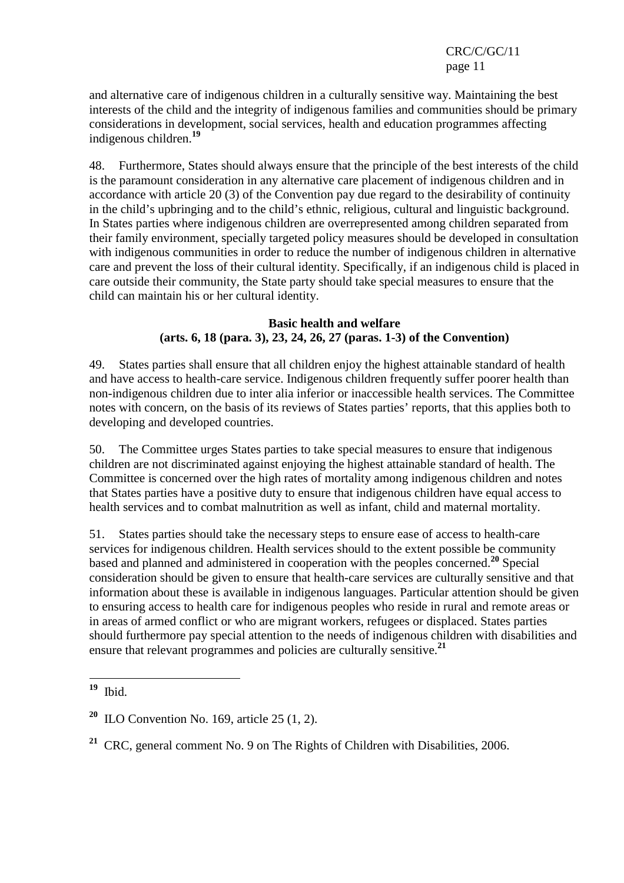and alternative care of indigenous children in a culturally sensitive way. Maintaining the best interests of the child and the integrity of indigenous families and communities should be primary considerations in development, social services, health and education programmes affecting indigenous children.**<sup>19</sup>**

48. Furthermore, States should always ensure that the principle of the best interests of the child is the paramount consideration in any alternative care placement of indigenous children and in accordance with article 20 (3) of the Convention pay due regard to the desirability of continuity in the child's upbringing and to the child's ethnic, religious, cultural and linguistic background. In States parties where indigenous children are overrepresented among children separated from their family environment, specially targeted policy measures should be developed in consultation with indigenous communities in order to reduce the number of indigenous children in alternative care and prevent the loss of their cultural identity. Specifically, if an indigenous child is placed in care outside their community, the State party should take special measures to ensure that the child can maintain his or her cultural identity.

#### **Basic health and welfare (arts. 6, 18 (para. 3), 23, 24, 26, 27 (paras. 1-3) of the Convention)**

49. States parties shall ensure that all children enjoy the highest attainable standard of health and have access to health-care service. Indigenous children frequently suffer poorer health than non-indigenous children due to inter alia inferior or inaccessible health services. The Committee notes with concern, on the basis of its reviews of States parties' reports, that this applies both to developing and developed countries.

50. The Committee urges States parties to take special measures to ensure that indigenous children are not discriminated against enjoying the highest attainable standard of health. The Committee is concerned over the high rates of mortality among indigenous children and notes that States parties have a positive duty to ensure that indigenous children have equal access to health services and to combat malnutrition as well as infant, child and maternal mortality.

51. States parties should take the necessary steps to ensure ease of access to health-care services for indigenous children. Health services should to the extent possible be community based and planned and administered in cooperation with the peoples concerned.**<sup>20</sup>** Special consideration should be given to ensure that health-care services are culturally sensitive and that information about these is available in indigenous languages. Particular attention should be given to ensuring access to health care for indigenous peoples who reside in rural and remote areas or in areas of armed conflict or who are migrant workers, refugees or displaced. States parties should furthermore pay special attention to the needs of indigenous children with disabilities and ensure that relevant programmes and policies are culturally sensitive.**<sup>21</sup>**

 $\overline{a}$ **<sup>19</sup>** Ibid.

**<sup>20</sup>** ILO Convention No. 169, article 25 (1, 2).

**<sup>21</sup>** CRC, general comment No. 9 on The Rights of Children with Disabilities, 2006.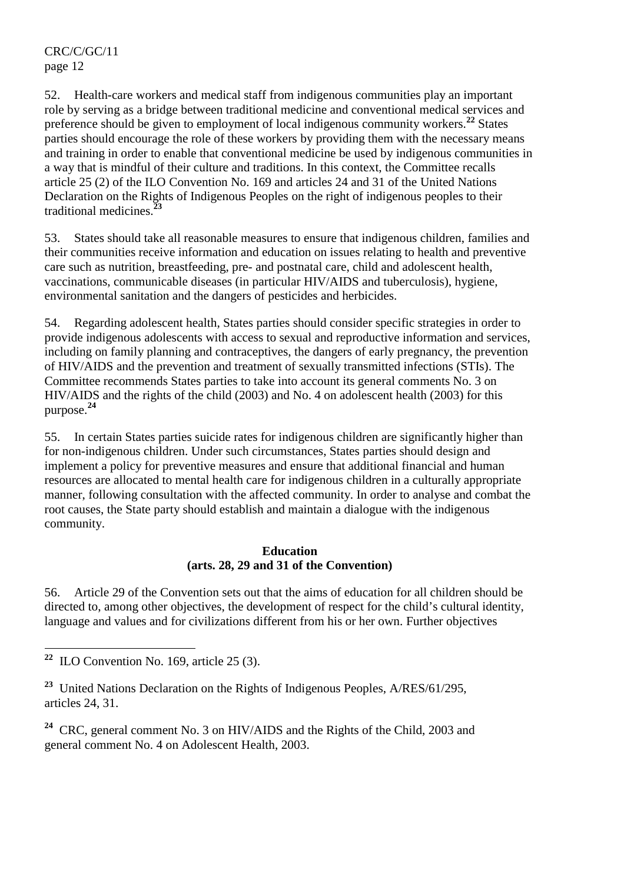52. Health-care workers and medical staff from indigenous communities play an important role by serving as a bridge between traditional medicine and conventional medical services and preference should be given to employment of local indigenous community workers.**<sup>22</sup>** States parties should encourage the role of these workers by providing them with the necessary means and training in order to enable that conventional medicine be used by indigenous communities in a way that is mindful of their culture and traditions. In this context, the Committee recalls article 25 (2) of the ILO Convention No. 169 and articles 24 and 31 of the United Nations Declaration on the Rights of Indigenous Peoples on the right of indigenous peoples to their traditional medicines.**<sup>23</sup>**

53. States should take all reasonable measures to ensure that indigenous children, families and their communities receive information and education on issues relating to health and preventive care such as nutrition, breastfeeding, pre- and postnatal care, child and adolescent health, vaccinations, communicable diseases (in particular HIV/AIDS and tuberculosis), hygiene, environmental sanitation and the dangers of pesticides and herbicides.

54. Regarding adolescent health, States parties should consider specific strategies in order to provide indigenous adolescents with access to sexual and reproductive information and services, including on family planning and contraceptives, the dangers of early pregnancy, the prevention of HIV/AIDS and the prevention and treatment of sexually transmitted infections (STIs). The Committee recommends States parties to take into account its general comments No. 3 on HIV/AIDS and the rights of the child (2003) and No. 4 on adolescent health (2003) for this purpose.**<sup>24</sup>**

55. In certain States parties suicide rates for indigenous children are significantly higher than for non-indigenous children. Under such circumstances, States parties should design and implement a policy for preventive measures and ensure that additional financial and human resources are allocated to mental health care for indigenous children in a culturally appropriate manner, following consultation with the affected community. In order to analyse and combat the root causes, the State party should establish and maintain a dialogue with the indigenous community.

#### **Education (arts. 28, 29 and 31 of the Convention)**

56. Article 29 of the Convention sets out that the aims of education for all children should be directed to, among other objectives, the development of respect for the child's cultural identity, language and values and for civilizations different from his or her own. Further objectives

**<sup>24</sup>** CRC, general comment No. 3 on HIV/AIDS and the Rights of the Child, 2003 and general comment No. 4 on Adolescent Health, 2003.

 $22$ **<sup>22</sup>** ILO Convention No. 169, article 25 (3).

**<sup>23</sup>** United Nations Declaration on the Rights of Indigenous Peoples, A/RES/61/295, articles 24, 31.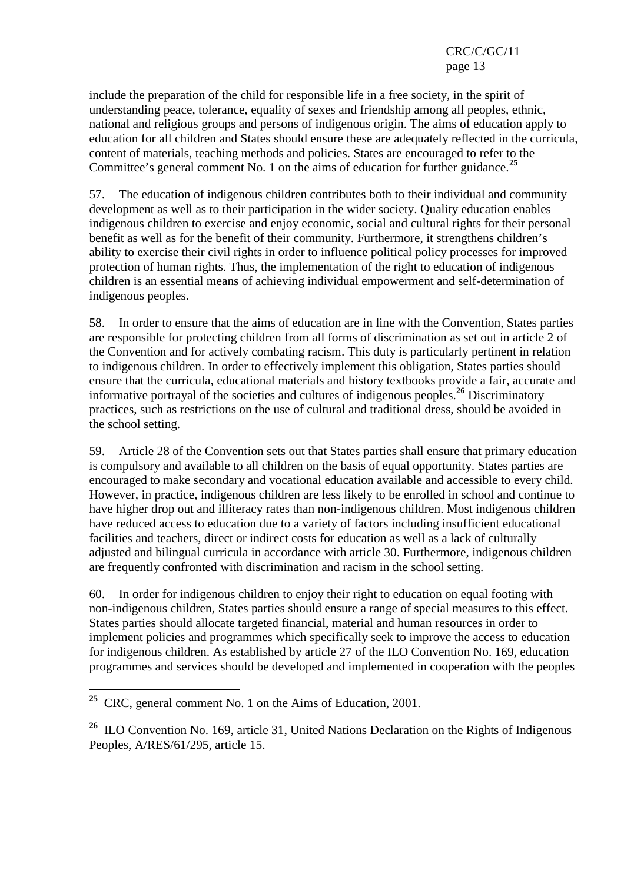include the preparation of the child for responsible life in a free society, in the spirit of understanding peace, tolerance, equality of sexes and friendship among all peoples, ethnic, national and religious groups and persons of indigenous origin. The aims of education apply to education for all children and States should ensure these are adequately reflected in the curricula, content of materials, teaching methods and policies. States are encouraged to refer to the Committee's general comment No. 1 on the aims of education for further guidance.**<sup>25</sup>**

57. The education of indigenous children contributes both to their individual and community development as well as to their participation in the wider society. Quality education enables indigenous children to exercise and enjoy economic, social and cultural rights for their personal benefit as well as for the benefit of their community. Furthermore, it strengthens children's ability to exercise their civil rights in order to influence political policy processes for improved protection of human rights. Thus, the implementation of the right to education of indigenous children is an essential means of achieving individual empowerment and self-determination of indigenous peoples.

58. In order to ensure that the aims of education are in line with the Convention, States parties are responsible for protecting children from all forms of discrimination as set out in article 2 of the Convention and for actively combating racism. This duty is particularly pertinent in relation to indigenous children. In order to effectively implement this obligation, States parties should ensure that the curricula, educational materials and history textbooks provide a fair, accurate and informative portrayal of the societies and cultures of indigenous peoples.**<sup>26</sup>** Discriminatory practices, such as restrictions on the use of cultural and traditional dress, should be avoided in the school setting.

59. Article 28 of the Convention sets out that States parties shall ensure that primary education is compulsory and available to all children on the basis of equal opportunity. States parties are encouraged to make secondary and vocational education available and accessible to every child. However, in practice, indigenous children are less likely to be enrolled in school and continue to have higher drop out and illiteracy rates than non-indigenous children. Most indigenous children have reduced access to education due to a variety of factors including insufficient educational facilities and teachers, direct or indirect costs for education as well as a lack of culturally adjusted and bilingual curricula in accordance with article 30. Furthermore, indigenous children are frequently confronted with discrimination and racism in the school setting.

60. In order for indigenous children to enjoy their right to education on equal footing with non-indigenous children, States parties should ensure a range of special measures to this effect. States parties should allocate targeted financial, material and human resources in order to implement policies and programmes which specifically seek to improve the access to education for indigenous children. As established by article 27 of the ILO Convention No. 169, education programmes and services should be developed and implemented in cooperation with the peoples

 $25\,$ **<sup>25</sup>** CRC, general comment No. 1 on the Aims of Education, 2001.

**<sup>26</sup>** ILO Convention No. 169, article 31, United Nations Declaration on the Rights of Indigenous Peoples, A/RES/61/295, article 15.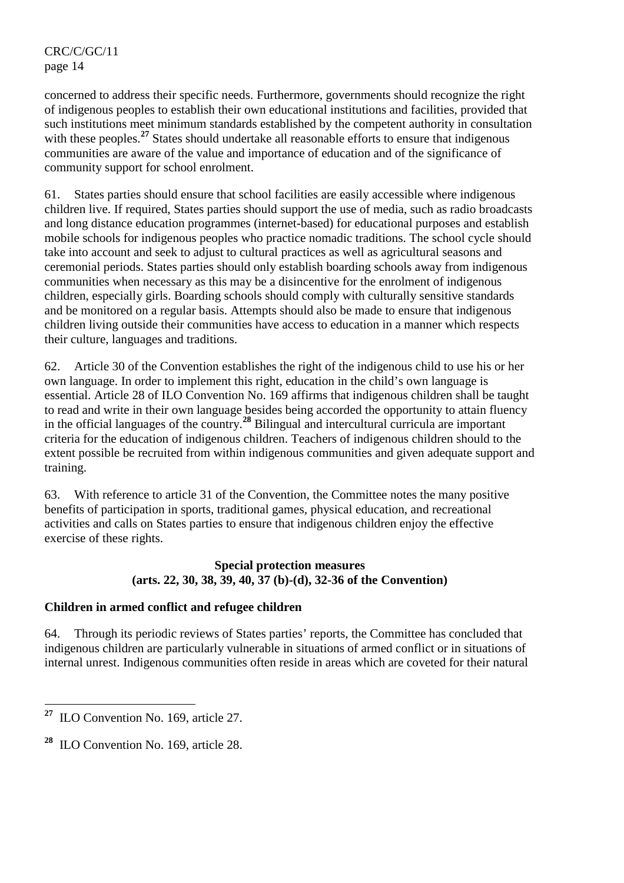concerned to address their specific needs. Furthermore, governments should recognize the right of indigenous peoples to establish their own educational institutions and facilities, provided that such institutions meet minimum standards established by the competent authority in consultation with these peoples.<sup>27</sup> States should undertake all reasonable efforts to ensure that indigenous communities are aware of the value and importance of education and of the significance of community support for school enrolment.

61. States parties should ensure that school facilities are easily accessible where indigenous children live. If required, States parties should support the use of media, such as radio broadcasts and long distance education programmes (internet-based) for educational purposes and establish mobile schools for indigenous peoples who practice nomadic traditions. The school cycle should take into account and seek to adjust to cultural practices as well as agricultural seasons and ceremonial periods. States parties should only establish boarding schools away from indigenous communities when necessary as this may be a disincentive for the enrolment of indigenous children, especially girls. Boarding schools should comply with culturally sensitive standards and be monitored on a regular basis. Attempts should also be made to ensure that indigenous children living outside their communities have access to education in a manner which respects their culture, languages and traditions.

62. Article 30 of the Convention establishes the right of the indigenous child to use his or her own language. In order to implement this right, education in the child's own language is essential. Article 28 of ILO Convention No. 169 affirms that indigenous children shall be taught to read and write in their own language besides being accorded the opportunity to attain fluency in the official languages of the country.**<sup>28</sup>** Bilingual and intercultural curricula are important criteria for the education of indigenous children. Teachers of indigenous children should to the extent possible be recruited from within indigenous communities and given adequate support and training.

63. With reference to article 31 of the Convention, the Committee notes the many positive benefits of participation in sports, traditional games, physical education, and recreational activities and calls on States parties to ensure that indigenous children enjoy the effective exercise of these rights.

#### **Special protection measures (arts. 22, 30, 38, 39, 40, 37 (b)-(d), 32-36 of the Convention)**

## **Children in armed conflict and refugee children**

64. Through its periodic reviews of States parties' reports, the Committee has concluded that indigenous children are particularly vulnerable in situations of armed conflict or in situations of internal unrest. Indigenous communities often reside in areas which are coveted for their natural

 $\overline{a}$ **<sup>27</sup>** ILO Convention No. 169, article 27.

**<sup>28</sup>** ILO Convention No. 169, article 28.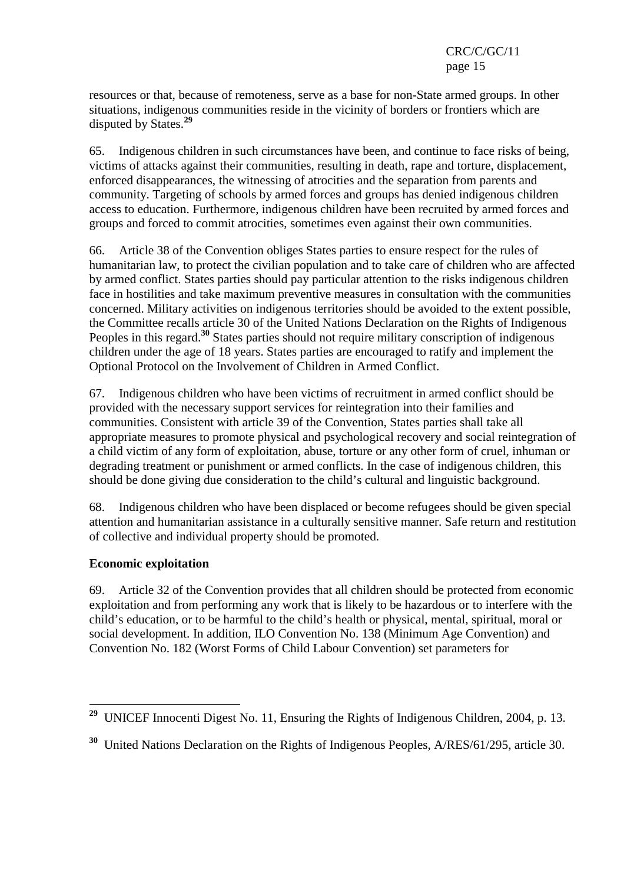resources or that, because of remoteness, serve as a base for non-State armed groups. In other situations, indigenous communities reside in the vicinity of borders or frontiers which are disputed by States.**<sup>29</sup>**

65. Indigenous children in such circumstances have been, and continue to face risks of being, victims of attacks against their communities, resulting in death, rape and torture, displacement, enforced disappearances, the witnessing of atrocities and the separation from parents and community. Targeting of schools by armed forces and groups has denied indigenous children access to education. Furthermore, indigenous children have been recruited by armed forces and groups and forced to commit atrocities, sometimes even against their own communities.

66. Article 38 of the Convention obliges States parties to ensure respect for the rules of humanitarian law, to protect the civilian population and to take care of children who are affected by armed conflict. States parties should pay particular attention to the risks indigenous children face in hostilities and take maximum preventive measures in consultation with the communities concerned. Military activities on indigenous territories should be avoided to the extent possible, the Committee recalls article 30 of the United Nations Declaration on the Rights of Indigenous Peoples in this regard.**<sup>30</sup>** States parties should not require military conscription of indigenous children under the age of 18 years. States parties are encouraged to ratify and implement the Optional Protocol on the Involvement of Children in Armed Conflict.

67. Indigenous children who have been victims of recruitment in armed conflict should be provided with the necessary support services for reintegration into their families and communities. Consistent with article 39 of the Convention, States parties shall take all appropriate measures to promote physical and psychological recovery and social reintegration of a child victim of any form of exploitation, abuse, torture or any other form of cruel, inhuman or degrading treatment or punishment or armed conflicts. In the case of indigenous children, this should be done giving due consideration to the child's cultural and linguistic background.

68. Indigenous children who have been displaced or become refugees should be given special attention and humanitarian assistance in a culturally sensitive manner. Safe return and restitution of collective and individual property should be promoted.

## **Economic exploitation**

69. Article 32 of the Convention provides that all children should be protected from economic exploitation and from performing any work that is likely to be hazardous or to interfere with the child's education, or to be harmful to the child's health or physical, mental, spiritual, moral or social development. In addition, ILO Convention No. 138 (Minimum Age Convention) and Convention No. 182 (Worst Forms of Child Labour Convention) set parameters for

 $\overline{a}$ **<sup>29</sup>** UNICEF Innocenti Digest No. 11, Ensuring the Rights of Indigenous Children, 2004, p. 13.

**<sup>30</sup>** United Nations Declaration on the Rights of Indigenous Peoples, A/RES/61/295, article 30.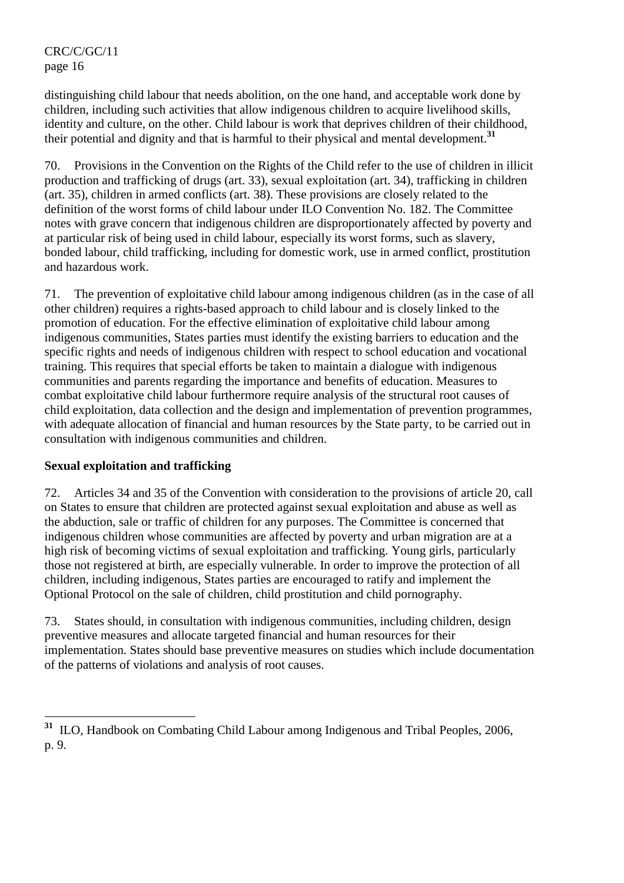distinguishing child labour that needs abolition, on the one hand, and acceptable work done by children, including such activities that allow indigenous children to acquire livelihood skills, identity and culture, on the other. Child labour is work that deprives children of their childhood, their potential and dignity and that is harmful to their physical and mental development.**<sup>31</sup>**

70. Provisions in the Convention on the Rights of the Child refer to the use of children in illicit production and trafficking of drugs (art. 33), sexual exploitation (art. 34), trafficking in children (art. 35), children in armed conflicts (art. 38). These provisions are closely related to the definition of the worst forms of child labour under ILO Convention No. 182. The Committee notes with grave concern that indigenous children are disproportionately affected by poverty and at particular risk of being used in child labour, especially its worst forms, such as slavery, bonded labour, child trafficking, including for domestic work, use in armed conflict, prostitution and hazardous work.

71. The prevention of exploitative child labour among indigenous children (as in the case of all other children) requires a rights-based approach to child labour and is closely linked to the promotion of education. For the effective elimination of exploitative child labour among indigenous communities, States parties must identify the existing barriers to education and the specific rights and needs of indigenous children with respect to school education and vocational training. This requires that special efforts be taken to maintain a dialogue with indigenous communities and parents regarding the importance and benefits of education. Measures to combat exploitative child labour furthermore require analysis of the structural root causes of child exploitation, data collection and the design and implementation of prevention programmes, with adequate allocation of financial and human resources by the State party, to be carried out in consultation with indigenous communities and children.

## **Sexual exploitation and trafficking**

 $\overline{a}$ 

72. Articles 34 and 35 of the Convention with consideration to the provisions of article 20, call on States to ensure that children are protected against sexual exploitation and abuse as well as the abduction, sale or traffic of children for any purposes. The Committee is concerned that indigenous children whose communities are affected by poverty and urban migration are at a high risk of becoming victims of sexual exploitation and trafficking. Young girls, particularly those not registered at birth, are especially vulnerable. In order to improve the protection of all children, including indigenous, States parties are encouraged to ratify and implement the Optional Protocol on the sale of children, child prostitution and child pornography.

73. States should, in consultation with indigenous communities, including children, design preventive measures and allocate targeted financial and human resources for their implementation. States should base preventive measures on studies which include documentation of the patterns of violations and analysis of root causes.

**<sup>31</sup>** ILO, Handbook on Combating Child Labour among Indigenous and Tribal Peoples, 2006, p. 9.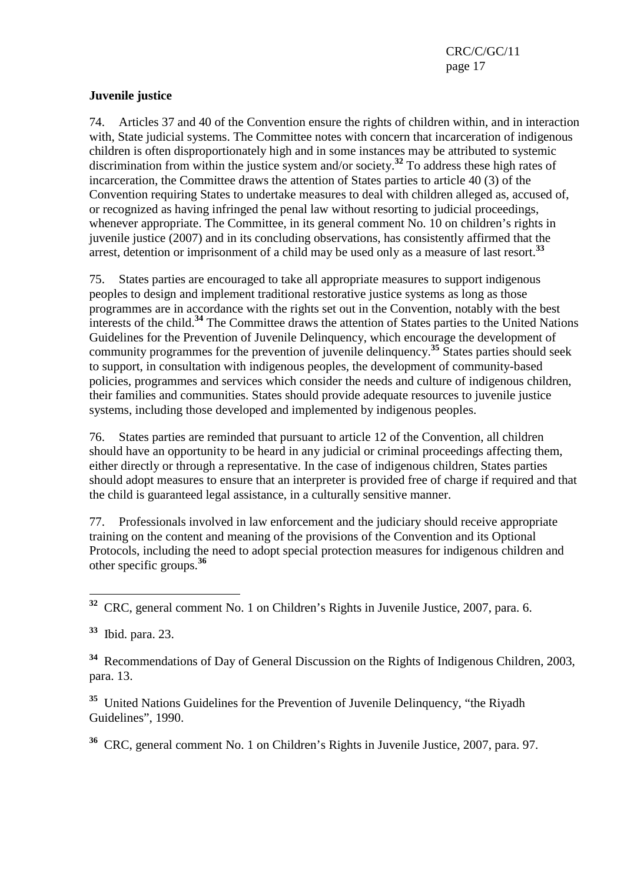## **Juvenile justice**

74. Articles 37 and 40 of the Convention ensure the rights of children within, and in interaction with, State judicial systems. The Committee notes with concern that incarceration of indigenous children is often disproportionately high and in some instances may be attributed to systemic discrimination from within the justice system and/or society.**<sup>32</sup>** To address these high rates of incarceration, the Committee draws the attention of States parties to article 40 (3) of the Convention requiring States to undertake measures to deal with children alleged as, accused of, or recognized as having infringed the penal law without resorting to judicial proceedings, whenever appropriate. The Committee, in its general comment No. 10 on children's rights in juvenile justice (2007) and in its concluding observations, has consistently affirmed that the arrest, detention or imprisonment of a child may be used only as a measure of last resort.**<sup>33</sup>**

75. States parties are encouraged to take all appropriate measures to support indigenous peoples to design and implement traditional restorative justice systems as long as those programmes are in accordance with the rights set out in the Convention, notably with the best interests of the child.**<sup>34</sup>** The Committee draws the attention of States parties to the United Nations Guidelines for the Prevention of Juvenile Delinquency, which encourage the development of community programmes for the prevention of juvenile delinquency.**<sup>35</sup>** States parties should seek to support, in consultation with indigenous peoples, the development of community-based policies, programmes and services which consider the needs and culture of indigenous children, their families and communities. States should provide adequate resources to juvenile justice systems, including those developed and implemented by indigenous peoples.

76. States parties are reminded that pursuant to article 12 of the Convention, all children should have an opportunity to be heard in any judicial or criminal proceedings affecting them, either directly or through a representative. In the case of indigenous children, States parties should adopt measures to ensure that an interpreter is provided free of charge if required and that the child is guaranteed legal assistance, in a culturally sensitive manner.

77. Professionals involved in law enforcement and the judiciary should receive appropriate training on the content and meaning of the provisions of the Convention and its Optional Protocols, including the need to adopt special protection measures for indigenous children and other specific groups.**<sup>36</sup>**

 $\overline{a}$ 

<sup>35</sup> United Nations Guidelines for the Prevention of Juvenile Delinquency, "the Riyadh" Guidelines", 1990.

**<sup>36</sup>** CRC, general comment No. 1 on Children's Rights in Juvenile Justice, 2007, para. 97.

**<sup>32</sup>** CRC, general comment No. 1 on Children's Rights in Juvenile Justice, 2007, para. 6.

**<sup>33</sup>** Ibid. para. 23.

**<sup>34</sup>** Recommendations of Day of General Discussion on the Rights of Indigenous Children, 2003, para. 13.